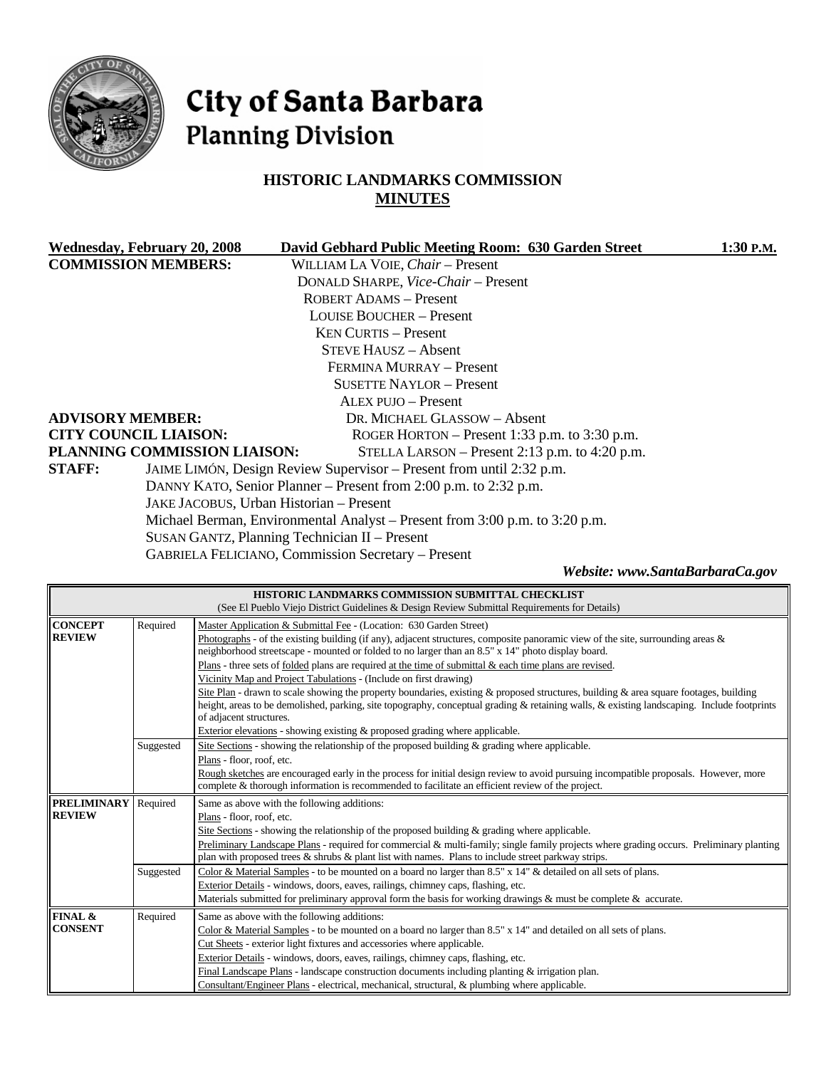

# City of Santa Barbara **Planning Division**

# **HISTORIC LANDMARKS COMMISSION MINUTES**

|               | Wednesday, February 20, 2008 | David Gebhard Public Meeting Room: 630 Garden Street                        | 1:30 P.M. |
|---------------|------------------------------|-----------------------------------------------------------------------------|-----------|
|               | <b>COMMISSION MEMBERS:</b>   | WILLIAM LA VOIE, Chair - Present                                            |           |
|               |                              | DONALD SHARPE, Vice-Chair - Present                                         |           |
|               |                              | ROBERT ADAMS - Present                                                      |           |
|               |                              | <b>LOUISE BOUCHER – Present</b>                                             |           |
|               |                              | <b>KEN CURTIS – Present</b>                                                 |           |
|               |                              | STEVE HAUSZ – Absent                                                        |           |
|               |                              | FERMINA MURRAY – Present                                                    |           |
|               |                              | <b>SUSETTE NAYLOR - Present</b>                                             |           |
|               |                              | ALEX PUJO – Present                                                         |           |
|               | <b>ADVISORY MEMBER:</b>      | DR. MICHAEL GLASSOW – Absent                                                |           |
|               | <b>CITY COUNCIL LIAISON:</b> | ROGER HORTON – Present 1:33 p.m. to $3:30$ p.m.                             |           |
|               | PLANNING COMMISSION LIAISON: | STELLA LARSON – Present 2:13 p.m. to 4:20 p.m.                              |           |
| <b>STAFF:</b> |                              | JAIME LIMÓN, Design Review Supervisor – Present from until 2:32 p.m.        |           |
|               |                              | DANNY KATO, Senior Planner – Present from 2:00 p.m. to 2:32 p.m.            |           |
|               |                              | JAKE JACOBUS, Urban Historian - Present                                     |           |
|               |                              | Michael Berman, Environmental Analyst – Present from 3:00 p.m. to 3:20 p.m. |           |
|               |                              | SUSAN GANTZ, Planning Technician II - Present                               |           |
|               |                              |                                                                             |           |

GABRIELA FELICIANO, Commission Secretary – Present

*Website: www.SantaBarbaraCa.gov* 

|                                                                                                  |                                                                                | HISTORIC LANDMARKS COMMISSION SUBMITTAL CHECKLIST<br>(See El Pueblo Viejo District Guidelines & Design Review Submittal Requirements for Details)                                                                                                                                                              |  |
|--------------------------------------------------------------------------------------------------|--------------------------------------------------------------------------------|----------------------------------------------------------------------------------------------------------------------------------------------------------------------------------------------------------------------------------------------------------------------------------------------------------------|--|
| <b>CONCEPT</b>                                                                                   | Required<br>Master Application & Submittal Fee - (Location: 630 Garden Street) |                                                                                                                                                                                                                                                                                                                |  |
| <b>REVIEW</b>                                                                                    |                                                                                | Photographs - of the existing building (if any), adjacent structures, composite panoramic view of the site, surrounding areas $\&$<br>neighborhood streetscape - mounted or folded to no larger than an 8.5" x 14" photo display board.                                                                        |  |
|                                                                                                  |                                                                                | Plans - three sets of folded plans are required at the time of submittal $\&$ each time plans are revised.                                                                                                                                                                                                     |  |
|                                                                                                  |                                                                                | Vicinity Map and Project Tabulations - (Include on first drawing)                                                                                                                                                                                                                                              |  |
|                                                                                                  |                                                                                | Site Plan - drawn to scale showing the property boundaries, existing & proposed structures, building & area square footages, building<br>height, areas to be demolished, parking, site topography, conceptual grading & retaining walls, & existing landscaping. Include footprints<br>of adjacent structures. |  |
|                                                                                                  |                                                                                | Exterior elevations - showing existing & proposed grading where applicable.                                                                                                                                                                                                                                    |  |
|                                                                                                  | Suggested                                                                      | Site Sections - showing the relationship of the proposed building & grading where applicable.                                                                                                                                                                                                                  |  |
|                                                                                                  |                                                                                | Plans - floor, roof, etc.                                                                                                                                                                                                                                                                                      |  |
|                                                                                                  |                                                                                | Rough sketches are encouraged early in the process for initial design review to avoid pursuing incompatible proposals. However, more                                                                                                                                                                           |  |
| complete & thorough information is recommended to facilitate an efficient review of the project. |                                                                                |                                                                                                                                                                                                                                                                                                                |  |
| <b>PRELIMINARY</b>                                                                               | Required                                                                       | Same as above with the following additions:                                                                                                                                                                                                                                                                    |  |
| <b>REVIEW</b>                                                                                    |                                                                                | Plans - floor, roof, etc.                                                                                                                                                                                                                                                                                      |  |
|                                                                                                  |                                                                                | Site Sections - showing the relationship of the proposed building $\&$ grading where applicable.                                                                                                                                                                                                               |  |
|                                                                                                  |                                                                                | Preliminary Landscape Plans - required for commercial & multi-family; single family projects where grading occurs. Preliminary planting                                                                                                                                                                        |  |
|                                                                                                  |                                                                                | plan with proposed trees & shrubs & plant list with names. Plans to include street parkway strips.                                                                                                                                                                                                             |  |
|                                                                                                  | Suggested                                                                      | Color & Material Samples - to be mounted on a board no larger than 8.5" x 14" & detailed on all sets of plans.                                                                                                                                                                                                 |  |
|                                                                                                  |                                                                                | Exterior Details - windows, doors, eaves, railings, chimney caps, flashing, etc.<br>Materials submitted for preliminary approval form the basis for working drawings & must be complete & accurate.                                                                                                            |  |
|                                                                                                  |                                                                                |                                                                                                                                                                                                                                                                                                                |  |
| FINAL &<br><b>CONSENT</b>                                                                        | Required                                                                       | Same as above with the following additions:                                                                                                                                                                                                                                                                    |  |
|                                                                                                  |                                                                                | Color & Material Samples - to be mounted on a board no larger than 8.5" x 14" and detailed on all sets of plans.                                                                                                                                                                                               |  |
|                                                                                                  |                                                                                | Cut Sheets - exterior light fixtures and accessories where applicable.                                                                                                                                                                                                                                         |  |
|                                                                                                  |                                                                                |                                                                                                                                                                                                                                                                                                                |  |
|                                                                                                  |                                                                                | Exterior Details - windows, doors, eaves, railings, chimney caps, flashing, etc.<br>Final Landscape Plans - landscape construction documents including planting $\&$ irrigation plan.                                                                                                                          |  |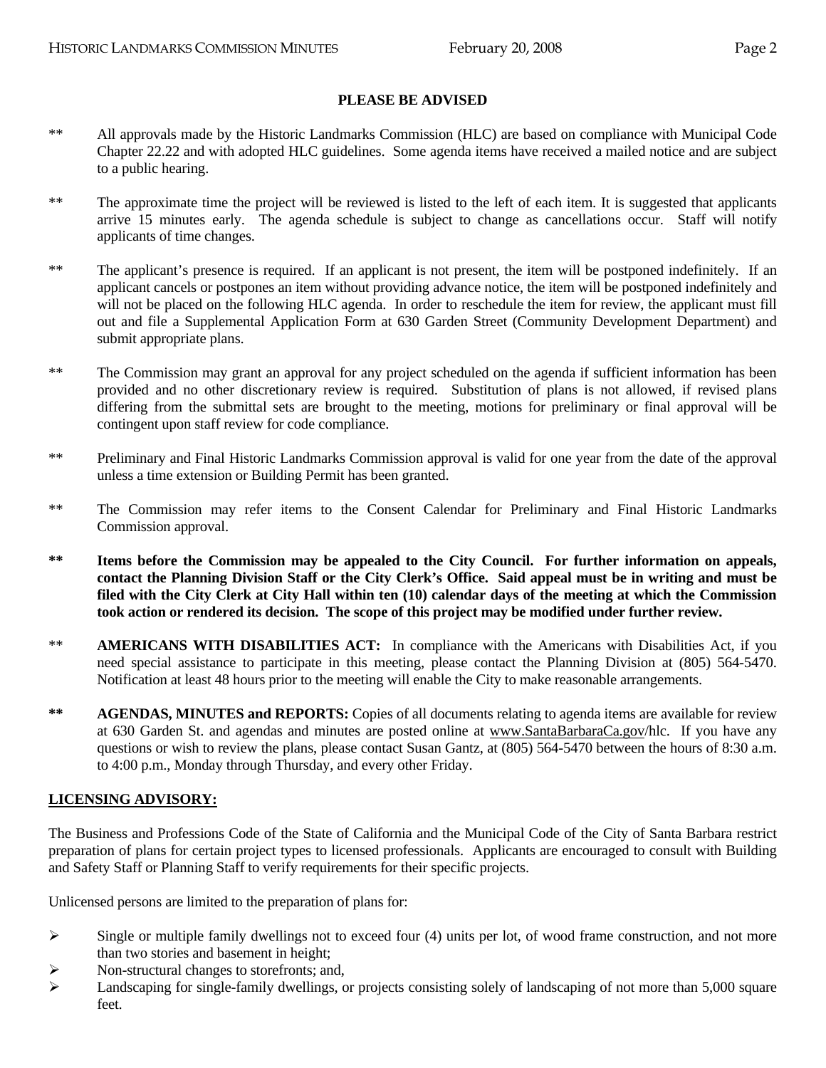#### **PLEASE BE ADVISED**

- \*\* All approvals made by the Historic Landmarks Commission (HLC) are based on compliance with Municipal Code Chapter 22.22 and with adopted HLC guidelines. Some agenda items have received a mailed notice and are subject to a public hearing.
- \*\* The approximate time the project will be reviewed is listed to the left of each item. It is suggested that applicants arrive 15 minutes early. The agenda schedule is subject to change as cancellations occur. Staff will notify applicants of time changes.
- \*\* The applicant's presence is required. If an applicant is not present, the item will be postponed indefinitely. If an applicant cancels or postpones an item without providing advance notice, the item will be postponed indefinitely and will not be placed on the following HLC agenda. In order to reschedule the item for review, the applicant must fill out and file a Supplemental Application Form at 630 Garden Street (Community Development Department) and submit appropriate plans.
- \*\* The Commission may grant an approval for any project scheduled on the agenda if sufficient information has been provided and no other discretionary review is required. Substitution of plans is not allowed, if revised plans differing from the submittal sets are brought to the meeting, motions for preliminary or final approval will be contingent upon staff review for code compliance.
- \*\* Preliminary and Final Historic Landmarks Commission approval is valid for one year from the date of the approval unless a time extension or Building Permit has been granted.
- \*\* The Commission may refer items to the Consent Calendar for Preliminary and Final Historic Landmarks Commission approval.
- **\*\* Items before the Commission may be appealed to the City Council. For further information on appeals, contact the Planning Division Staff or the City Clerk's Office. Said appeal must be in writing and must be filed with the City Clerk at City Hall within ten (10) calendar days of the meeting at which the Commission took action or rendered its decision. The scope of this project may be modified under further review.**
- \*\* **AMERICANS WITH DISABILITIES ACT:** In compliance with the Americans with Disabilities Act, if you need special assistance to participate in this meeting, please contact the Planning Division at (805) 564-5470. Notification at least 48 hours prior to the meeting will enable the City to make reasonable arrangements.
- **\*\* AGENDAS, MINUTES and REPORTS:** Copies of all documents relating to agenda items are available for review at 630 Garden St. and agendas and minutes are posted online at www.SantaBarbaraCa.gov/hlc. If you have any questions or wish to review the plans, please contact Susan Gantz, at (805) 564-5470 between the hours of 8:30 a.m. to 4:00 p.m., Monday through Thursday, and every other Friday.

#### **LICENSING ADVISORY:**

The Business and Professions Code of the State of California and the Municipal Code of the City of Santa Barbara restrict preparation of plans for certain project types to licensed professionals. Applicants are encouraged to consult with Building and Safety Staff or Planning Staff to verify requirements for their specific projects.

Unlicensed persons are limited to the preparation of plans for:

- $\triangleright$  Single or multiple family dwellings not to exceed four (4) units per lot, of wood frame construction, and not more than two stories and basement in height;
- ¾ Non-structural changes to storefronts; and,
- $\blacktriangleright$  Landscaping for single-family dwellings, or projects consisting solely of landscaping of not more than 5,000 square feet.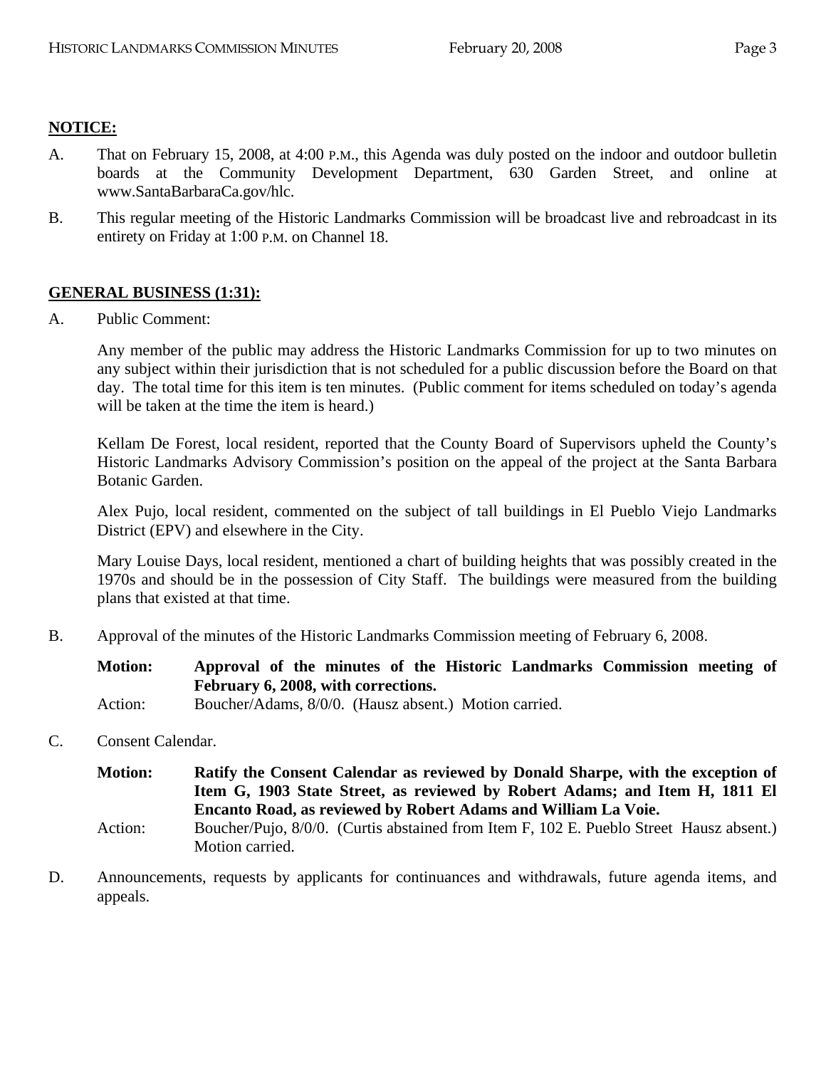### **NOTICE:**

- A. That on February 15, 2008, at 4:00 P.M., this Agenda was duly posted on the indoor and outdoor bulletin boards at the Community Development Department, 630 Garden Street, and online at www.SantaBarbaraCa.gov/hlc.
- B. This regular meeting of the Historic Landmarks Commission will be broadcast live and rebroadcast in its entirety on Friday at 1:00 P.M. on Channel 18.

# **GENERAL BUSINESS (1:31):**

A. Public Comment:

Any member of the public may address the Historic Landmarks Commission for up to two minutes on any subject within their jurisdiction that is not scheduled for a public discussion before the Board on that day. The total time for this item is ten minutes. (Public comment for items scheduled on today's agenda will be taken at the time the item is heard.)

Kellam De Forest, local resident, reported that the County Board of Supervisors upheld the County's Historic Landmarks Advisory Commission's position on the appeal of the project at the Santa Barbara Botanic Garden.

Alex Pujo, local resident, commented on the subject of tall buildings in El Pueblo Viejo Landmarks District (EPV) and elsewhere in the City.

Mary Louise Days, local resident, mentioned a chart of building heights that was possibly created in the 1970s and should be in the possession of City Staff. The buildings were measured from the building plans that existed at that time.

B. Approval of the minutes of the Historic Landmarks Commission meeting of February 6, 2008.

**Motion: Approval of the minutes of the Historic Landmarks Commission meeting of February 6, 2008, with corrections.**  Action: Boucher/Adams, 8/0/0. (Hausz absent.) Motion carried.

C. Consent Calendar.

**Motion: Ratify the Consent Calendar as reviewed by Donald Sharpe, with the exception of Item G, 1903 State Street, as reviewed by Robert Adams; and Item H, 1811 El Encanto Road, as reviewed by Robert Adams and William La Voie.** 

- Action: Boucher/Pujo, 8/0/0. (Curtis abstained from Item F, 102 E. Pueblo Street Hausz absent.) Motion carried.
- D. Announcements, requests by applicants for continuances and withdrawals, future agenda items, and appeals.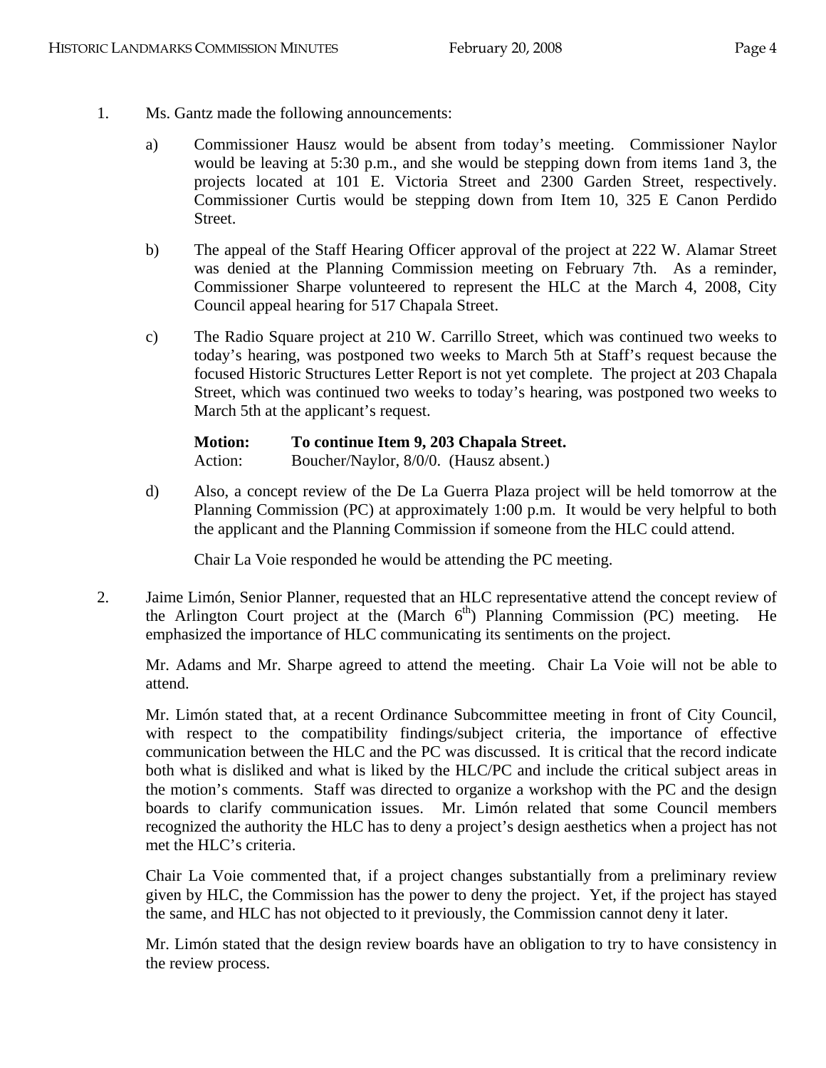- 1. Ms. Gantz made the following announcements:
	- a) Commissioner Hausz would be absent from today's meeting. Commissioner Naylor would be leaving at 5:30 p.m., and she would be stepping down from items 1and 3, the projects located at 101 E. Victoria Street and 2300 Garden Street, respectively. Commissioner Curtis would be stepping down from Item 10, 325 E Canon Perdido Street.
	- b) The appeal of the Staff Hearing Officer approval of the project at 222 W. Alamar Street was denied at the Planning Commission meeting on February 7th. As a reminder, Commissioner Sharpe volunteered to represent the HLC at the March 4, 2008, City Council appeal hearing for 517 Chapala Street.
	- c) The Radio Square project at 210 W. Carrillo Street, which was continued two weeks to today's hearing, was postponed two weeks to March 5th at Staff's request because the focused Historic Structures Letter Report is not yet complete. The project at 203 Chapala Street, which was continued two weeks to today's hearing, was postponed two weeks to March 5th at the applicant's request.

| <b>Motion:</b> | To continue Item 9, 203 Chapala Street. |
|----------------|-----------------------------------------|
| Action:        | Boucher/Naylor, 8/0/0. (Hausz absent.)  |

d) Also, a concept review of the De La Guerra Plaza project will be held tomorrow at the Planning Commission (PC) at approximately 1:00 p.m. It would be very helpful to both the applicant and the Planning Commission if someone from the HLC could attend.

Chair La Voie responded he would be attending the PC meeting.

2. Jaime Limón, Senior Planner, requested that an HLC representative attend the concept review of the Arlington Court project at the (March  $6<sup>th</sup>$ ) Planning Commission (PC) meeting. He emphasized the importance of HLC communicating its sentiments on the project.

Mr. Adams and Mr. Sharpe agreed to attend the meeting. Chair La Voie will not be able to attend.

Mr. Limón stated that, at a recent Ordinance Subcommittee meeting in front of City Council, with respect to the compatibility findings/subject criteria, the importance of effective communication between the HLC and the PC was discussed. It is critical that the record indicate both what is disliked and what is liked by the HLC/PC and include the critical subject areas in the motion's comments. Staff was directed to organize a workshop with the PC and the design boards to clarify communication issues. Mr. Limón related that some Council members recognized the authority the HLC has to deny a project's design aesthetics when a project has not met the HLC's criteria.

Chair La Voie commented that, if a project changes substantially from a preliminary review given by HLC, the Commission has the power to deny the project. Yet, if the project has stayed the same, and HLC has not objected to it previously, the Commission cannot deny it later.

Mr. Limón stated that the design review boards have an obligation to try to have consistency in the review process.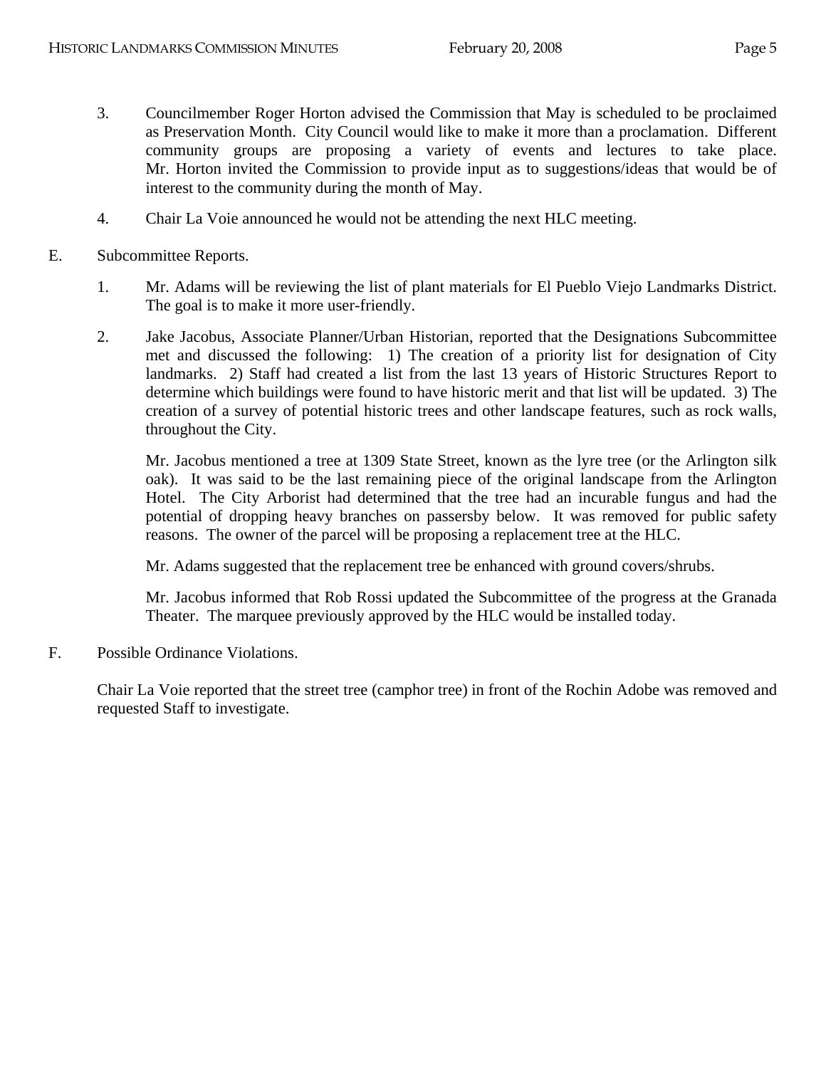- 3. Councilmember Roger Horton advised the Commission that May is scheduled to be proclaimed as Preservation Month. City Council would like to make it more than a proclamation. Different community groups are proposing a variety of events and lectures to take place. Mr. Horton invited the Commission to provide input as to suggestions/ideas that would be of interest to the community during the month of May.
- 4. Chair La Voie announced he would not be attending the next HLC meeting.
- E. Subcommittee Reports.
	- 1. Mr. Adams will be reviewing the list of plant materials for El Pueblo Viejo Landmarks District. The goal is to make it more user-friendly.
	- 2. Jake Jacobus, Associate Planner/Urban Historian, reported that the Designations Subcommittee met and discussed the following: 1) The creation of a priority list for designation of City landmarks. 2) Staff had created a list from the last 13 years of Historic Structures Report to determine which buildings were found to have historic merit and that list will be updated. 3) The creation of a survey of potential historic trees and other landscape features, such as rock walls, throughout the City.

Mr. Jacobus mentioned a tree at 1309 State Street, known as the lyre tree (or the Arlington silk oak). It was said to be the last remaining piece of the original landscape from the Arlington Hotel. The City Arborist had determined that the tree had an incurable fungus and had the potential of dropping heavy branches on passersby below. It was removed for public safety reasons. The owner of the parcel will be proposing a replacement tree at the HLC.

Mr. Adams suggested that the replacement tree be enhanced with ground covers/shrubs.

Mr. Jacobus informed that Rob Rossi updated the Subcommittee of the progress at the Granada Theater. The marquee previously approved by the HLC would be installed today.

F. Possible Ordinance Violations.

Chair La Voie reported that the street tree (camphor tree) in front of the Rochin Adobe was removed and requested Staff to investigate.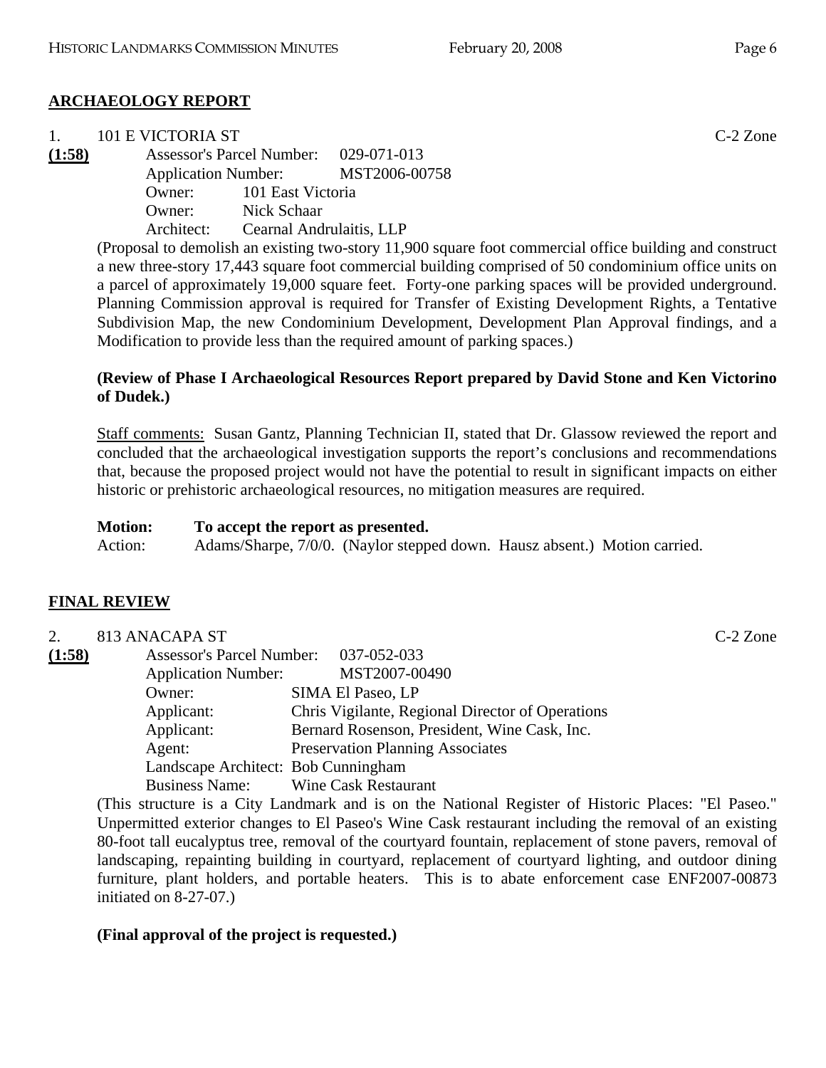# **ARCHAEOLOGY REPORT**

| $\sim$ 1. | 101 E VICTORIA ST |                                       |                                                                                                          | $C-2$ Zone |
|-----------|-------------------|---------------------------------------|----------------------------------------------------------------------------------------------------------|------------|
| (1:58)    |                   | Assessor's Parcel Number: 029-071-013 |                                                                                                          |            |
|           |                   |                                       | Application Number: MST2006-00758                                                                        |            |
|           |                   | Owner: 101 East Victoria              |                                                                                                          |            |
|           |                   | Owner: Nick Schaar                    |                                                                                                          |            |
|           | Architect:        | Cearnal Andrulaitis, LLP              |                                                                                                          |            |
|           |                   |                                       | $(Dron)$ to demolish an evicting two story $11,000$ square feet commercial effice building and construct |            |

(Proposal to demolish an existing two-story 11,900 square foot commercial office building and construct a new three-story 17,443 square foot commercial building comprised of 50 condominium office units on a parcel of approximately 19,000 square feet. Forty-one parking spaces will be provided underground. Planning Commission approval is required for Transfer of Existing Development Rights, a Tentative Subdivision Map, the new Condominium Development, Development Plan Approval findings, and a Modification to provide less than the required amount of parking spaces.)

# **(Review of Phase I Archaeological Resources Report prepared by David Stone and Ken Victorino of Dudek.)**

Staff comments: Susan Gantz, Planning Technician II, stated that Dr. Glassow reviewed the report and concluded that the archaeological investigation supports the report's conclusions and recommendations that, because the proposed project would not have the potential to result in significant impacts on either historic or prehistoric archaeological resources, no mitigation measures are required.

#### **Motion: To accept the report as presented.**

Action: Adams/Sharpe, 7/0/0. (Naylor stepped down. Hausz absent.) Motion carried.

# **FINAL REVIEW**

| 2.     | 813 ANACAPA ST                      |                                                  | C-2 Zone |
|--------|-------------------------------------|--------------------------------------------------|----------|
| (1:58) | <b>Assessor's Parcel Number:</b>    | 037-052-033                                      |          |
|        | <b>Application Number:</b>          | MST2007-00490                                    |          |
|        | Owner:                              | SIMA El Paseo, LP                                |          |
|        | Applicant:                          | Chris Vigilante, Regional Director of Operations |          |
|        | Applicant:                          | Bernard Rosenson, President, Wine Cask, Inc.     |          |
|        | Agent:                              | <b>Preservation Planning Associates</b>          |          |
|        | Landscape Architect: Bob Cunningham |                                                  |          |
|        | <b>Business Name:</b>               | <b>Wine Cask Restaurant</b>                      |          |

(This structure is a City Landmark and is on the National Register of Historic Places: "El Paseo." Unpermitted exterior changes to El Paseo's Wine Cask restaurant including the removal of an existing 80-foot tall eucalyptus tree, removal of the courtyard fountain, replacement of stone pavers, removal of landscaping, repainting building in courtyard, replacement of courtyard lighting, and outdoor dining furniture, plant holders, and portable heaters. This is to abate enforcement case ENF2007-00873 initiated on 8-27-07.)

# **(Final approval of the project is requested.)**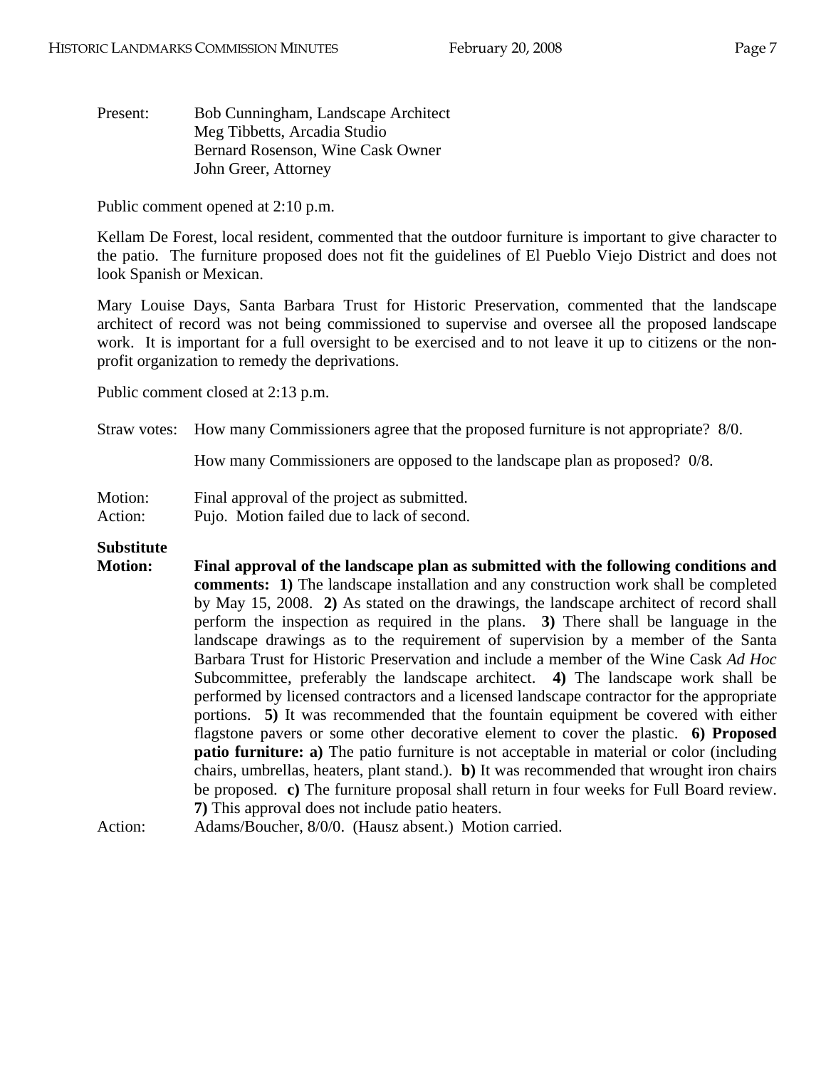Present: Bob Cunningham, Landscape Architect Meg Tibbetts, Arcadia Studio Bernard Rosenson, Wine Cask Owner John Greer, Attorney

Public comment opened at 2:10 p.m.

Kellam De Forest, local resident, commented that the outdoor furniture is important to give character to the patio. The furniture proposed does not fit the guidelines of El Pueblo Viejo District and does not look Spanish or Mexican.

Mary Louise Days, Santa Barbara Trust for Historic Preservation, commented that the landscape architect of record was not being commissioned to supervise and oversee all the proposed landscape work. It is important for a full oversight to be exercised and to not leave it up to citizens or the nonprofit organization to remedy the deprivations.

Public comment closed at 2:13 p.m.

Straw votes: How many Commissioners agree that the proposed furniture is not appropriate? 8/0.

How many Commissioners are opposed to the landscape plan as proposed? 0/8.

Motion: Final approval of the project as submitted.

Action: Pujo. Motion failed due to lack of second.

# **Substitute**

**Motion: Final approval of the landscape plan as submitted with the following conditions and comments: 1)** The landscape installation and any construction work shall be completed by May 15, 2008. **2)** As stated on the drawings, the landscape architect of record shall perform the inspection as required in the plans. **3)** There shall be language in the landscape drawings as to the requirement of supervision by a member of the Santa Barbara Trust for Historic Preservation and include a member of the Wine Cask *Ad Hoc* Subcommittee, preferably the landscape architect. **4)** The landscape work shall be performed by licensed contractors and a licensed landscape contractor for the appropriate portions. **5)** It was recommended that the fountain equipment be covered with either flagstone pavers or some other decorative element to cover the plastic. **6) Proposed patio furniture: a)** The patio furniture is not acceptable in material or color (including chairs, umbrellas, heaters, plant stand.). **b)** It was recommended that wrought iron chairs be proposed. **c)** The furniture proposal shall return in four weeks for Full Board review. **7)** This approval does not include patio heaters.

Action: Adams/Boucher, 8/0/0. (Hausz absent.) Motion carried.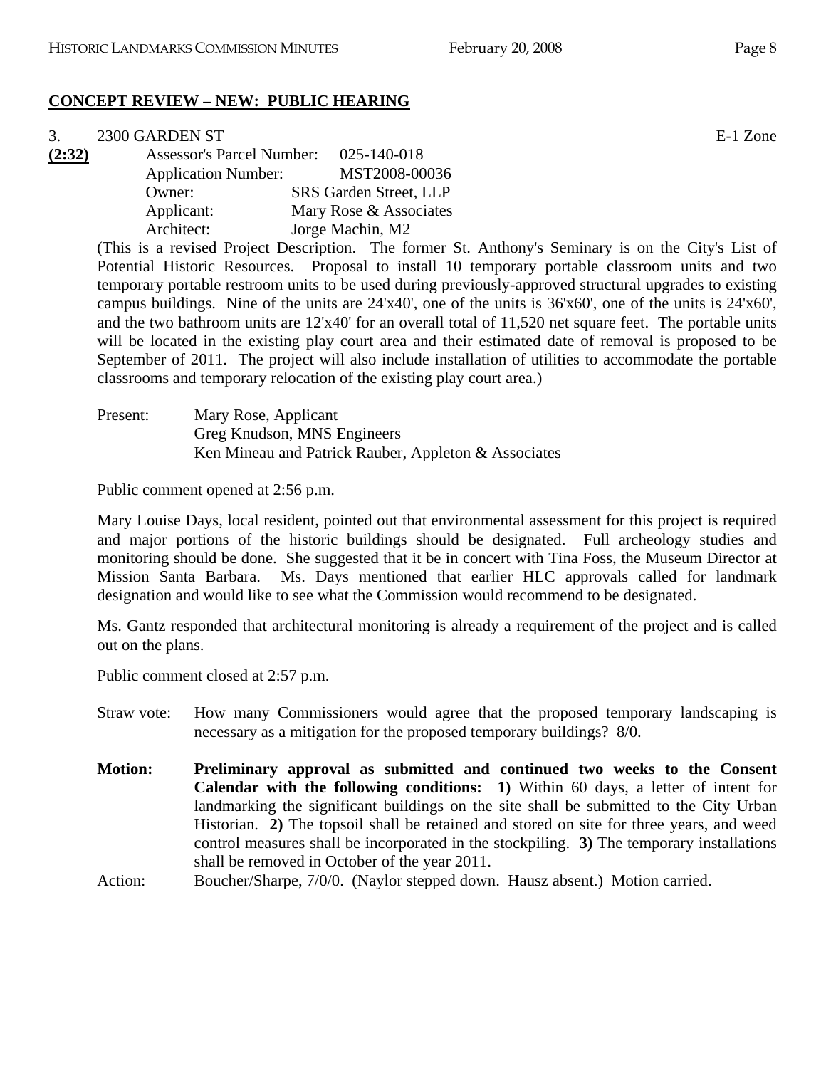# **CONCEPT REVIEW – NEW: PUBLIC HEARING**

#### $3. 2300$  GARDEN ST  $E-1$  Zone

**(2:32)** Assessor's Parcel Number: 025-140-018 Application Number: MST2008-00036 Owner: SRS Garden Street, LLP Applicant: Mary Rose & Associates Architect: Jorge Machin, M2

> (This is a revised Project Description. The former St. Anthony's Seminary is on the City's List of Potential Historic Resources. Proposal to install 10 temporary portable classroom units and two temporary portable restroom units to be used during previously-approved structural upgrades to existing campus buildings. Nine of the units are 24'x40', one of the units is 36'x60', one of the units is 24'x60', and the two bathroom units are 12'x40' for an overall total of 11,520 net square feet. The portable units will be located in the existing play court area and their estimated date of removal is proposed to be September of 2011. The project will also include installation of utilities to accommodate the portable classrooms and temporary relocation of the existing play court area.)

Present: Mary Rose, Applicant Greg Knudson, MNS Engineers Ken Mineau and Patrick Rauber, Appleton & Associates

Public comment opened at 2:56 p.m.

Mary Louise Days, local resident, pointed out that environmental assessment for this project is required and major portions of the historic buildings should be designated. Full archeology studies and monitoring should be done. She suggested that it be in concert with Tina Foss, the Museum Director at Mission Santa Barbara. Ms. Days mentioned that earlier HLC approvals called for landmark designation and would like to see what the Commission would recommend to be designated.

Ms. Gantz responded that architectural monitoring is already a requirement of the project and is called out on the plans.

Public comment closed at 2:57 p.m.

- Straw vote: How many Commissioners would agree that the proposed temporary landscaping is necessary as a mitigation for the proposed temporary buildings? 8/0.
- **Motion: Preliminary approval as submitted and continued two weeks to the Consent Calendar with the following conditions: 1)** Within 60 days, a letter of intent for landmarking the significant buildings on the site shall be submitted to the City Urban Historian. **2)** The topsoil shall be retained and stored on site for three years, and weed control measures shall be incorporated in the stockpiling. **3)** The temporary installations shall be removed in October of the year 2011.
- Action: Boucher/Sharpe, 7/0/0. (Naylor stepped down. Hausz absent.) Motion carried.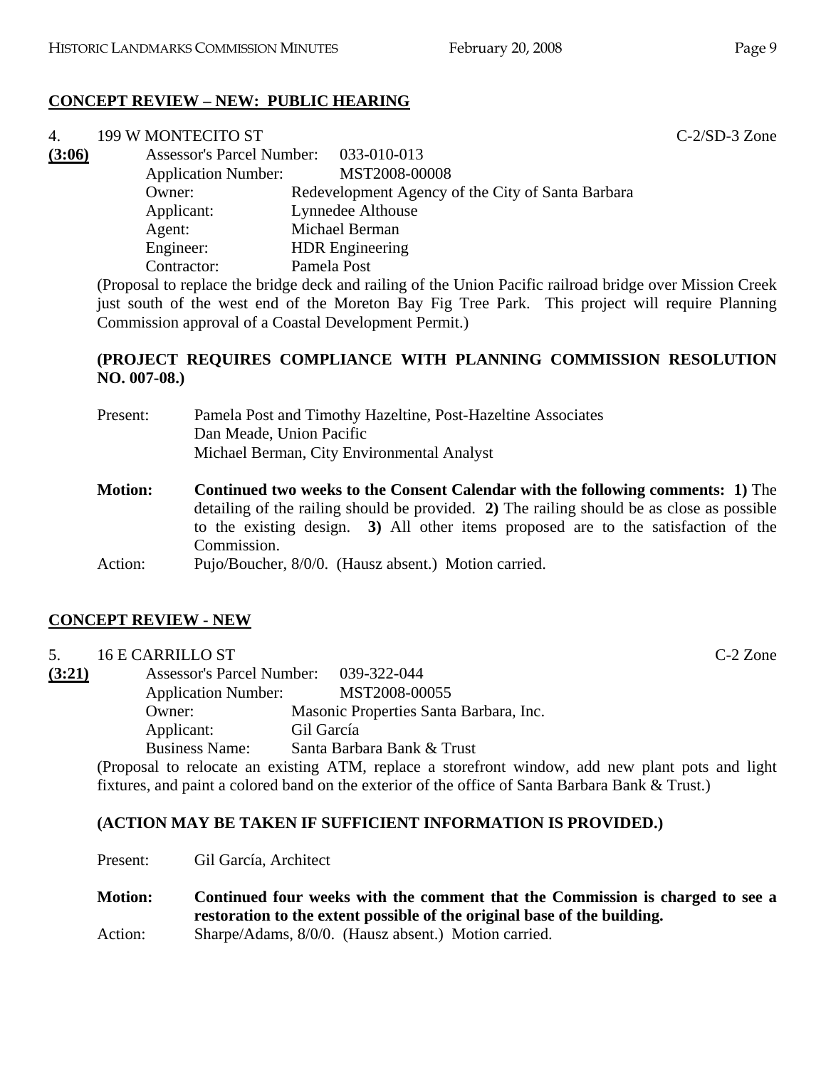# **CONCEPT REVIEW – NEW: PUBLIC HEARING**

Commission approval of a Coastal Development Permit.)

| 4.     | 199 W MONTECITO ST               |                                                                                                          | $C-2/SD-3$ Zone |
|--------|----------------------------------|----------------------------------------------------------------------------------------------------------|-----------------|
| (3:06) | <b>Assessor's Parcel Number:</b> | 033-010-013                                                                                              |                 |
|        | <b>Application Number:</b>       | MST2008-00008                                                                                            |                 |
|        | Owner:                           | Redevelopment Agency of the City of Santa Barbara                                                        |                 |
|        | Applicant:                       | Lynnedee Althouse                                                                                        |                 |
|        | Agent:                           | Michael Berman                                                                                           |                 |
|        | Engineer:                        | <b>HDR</b> Engineering                                                                                   |                 |
|        | Contractor:                      | Pamela Post                                                                                              |                 |
|        |                                  | (Proposal to replace the bridge deck and railing of the Union Pacific railroad bridge over Mission Creek |                 |
|        |                                  | just south of the west end of the Moreton Bay Fig Tree Park. This project will require Planning          |                 |

### **(PROJECT REQUIRES COMPLIANCE WITH PLANNING COMMISSION RESOLUTION NO. 007-08.)**

| Present:       | Pamela Post and Timothy Hazeltine, Post-Hazeltine Associates<br>Dan Meade, Union Pacific<br>Michael Berman, City Environmental Analyst                                                                                                                                                    |
|----------------|-------------------------------------------------------------------------------------------------------------------------------------------------------------------------------------------------------------------------------------------------------------------------------------------|
| <b>Motion:</b> | <b>Continued two weeks to the Consent Calendar with the following comments: 1)</b> The<br>detailing of the railing should be provided. 2) The railing should be as close as possible<br>to the existing design. 3) All other items proposed are to the satisfaction of the<br>Commission. |
| Action:        | Pujo/Boucher, 8/0/0. (Hausz absent.) Motion carried.                                                                                                                                                                                                                                      |

# **CONCEPT REVIEW - NEW**

# 5. 16 E CARRILLO ST C-2 Zone **(3:21)** Assessor's Parcel Number: 039-322-044 Application Number: MST2008-00055 Owner: Masonic Properties Santa Barbara, Inc. Applicant: Gil García Business Name: Santa Barbara Bank & Trust

(Proposal to relocate an existing ATM, replace a storefront window, add new plant pots and light fixtures, and paint a colored band on the exterior of the office of Santa Barbara Bank & Trust.)

# **(ACTION MAY BE TAKEN IF SUFFICIENT INFORMATION IS PROVIDED.)**

Present: Gil García, Architect

**Motion: Continued four weeks with the comment that the Commission is charged to see a restoration to the extent possible of the original base of the building.**  Action: Sharpe/Adams, 8/0/0. (Hausz absent.) Motion carried.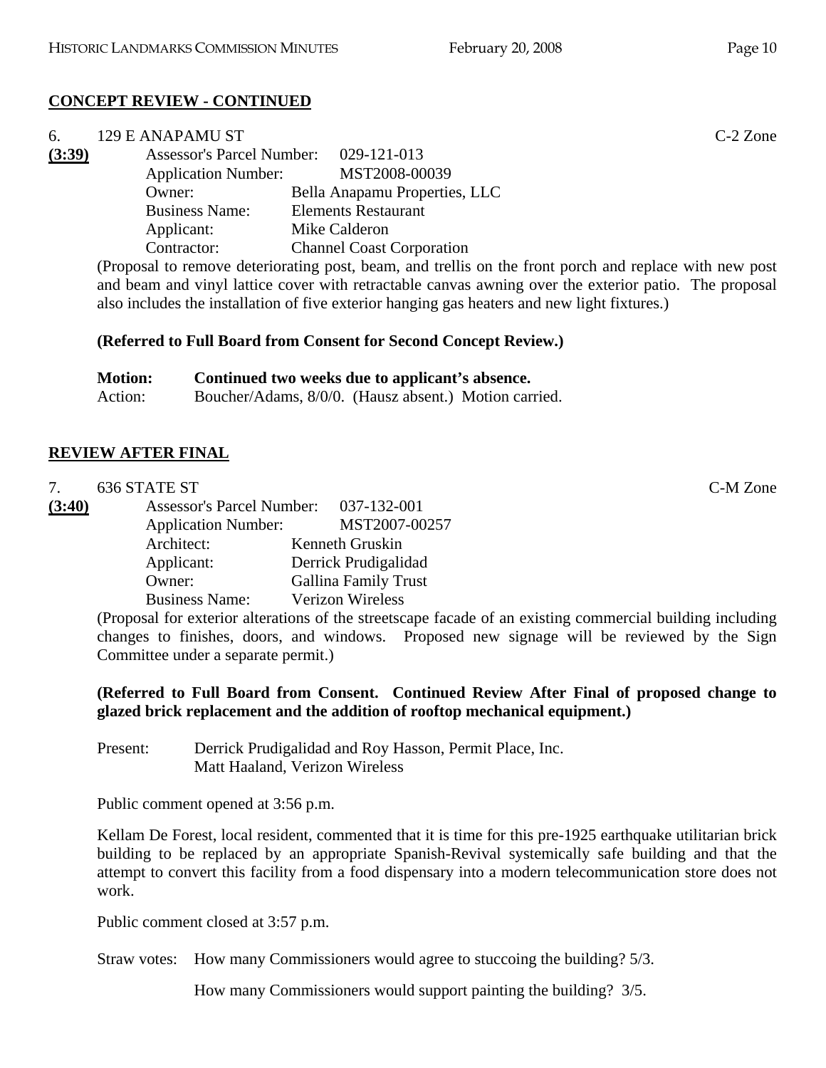# **CONCEPT REVIEW - CONTINUED**

| 6.     | 129 E ANAPAMU ST                      |                                                                                                     | $C-2$ Zone |
|--------|---------------------------------------|-----------------------------------------------------------------------------------------------------|------------|
| (3:39) | Assessor's Parcel Number: 029-121-013 |                                                                                                     |            |
|        | <b>Application Number:</b>            | MST2008-00039                                                                                       |            |
|        | Owner:                                | Bella Anapamu Properties, LLC                                                                       |            |
|        | <b>Business Name:</b>                 | <b>Elements Restaurant</b>                                                                          |            |
|        | Applicant:                            | Mike Calderon                                                                                       |            |
|        | Contractor:                           | <b>Channel Coast Corporation</b>                                                                    |            |
|        |                                       | Proposal to remove deteriorating post beam and trellis on the front porch and replace with new post |            |

(Proposal to remove deteriorating post, beam, and trellis on the front porch and replace with new post and beam and vinyl lattice cover with retractable canvas awning over the exterior patio. The proposal also includes the installation of five exterior hanging gas heaters and new light fixtures.)

#### **(Referred to Full Board from Consent for Second Concept Review.)**

| <b>Motion:</b> | Continued two weeks due to applicant's absence.       |
|----------------|-------------------------------------------------------|
| Action:        | Boucher/Adams, 8/0/0. (Hausz absent.) Motion carried. |

#### **REVIEW AFTER FINAL**

|        | 636 STATE ST               |                                       | C-M Zone |
|--------|----------------------------|---------------------------------------|----------|
| (3:40) |                            | Assessor's Parcel Number: 037-132-001 |          |
|        | <b>Application Number:</b> | MST2007-00257                         |          |
|        | Architect:                 | Kenneth Gruskin                       |          |
|        | Applicant:                 | Derrick Prudigalidad                  |          |
|        | Owner:                     | <b>Gallina Family Trust</b>           |          |
|        | <b>Business Name:</b>      | <b>Verizon Wireless</b>               |          |

(Proposal for exterior alterations of the streetscape facade of an existing commercial building including changes to finishes, doors, and windows. Proposed new signage will be reviewed by the Sign Committee under a separate permit.)

#### **(Referred to Full Board from Consent. Continued Review After Final of proposed change to glazed brick replacement and the addition of rooftop mechanical equipment.)**

Present: Derrick Prudigalidad and Roy Hasson, Permit Place, Inc. Matt Haaland, Verizon Wireless

Public comment opened at 3:56 p.m.

Kellam De Forest, local resident, commented that it is time for this pre-1925 earthquake utilitarian brick building to be replaced by an appropriate Spanish-Revival systemically safe building and that the attempt to convert this facility from a food dispensary into a modern telecommunication store does not work.

Public comment closed at 3:57 p.m.

Straw votes: How many Commissioners would agree to stuccoing the building? 5/3.

How many Commissioners would support painting the building? 3/5.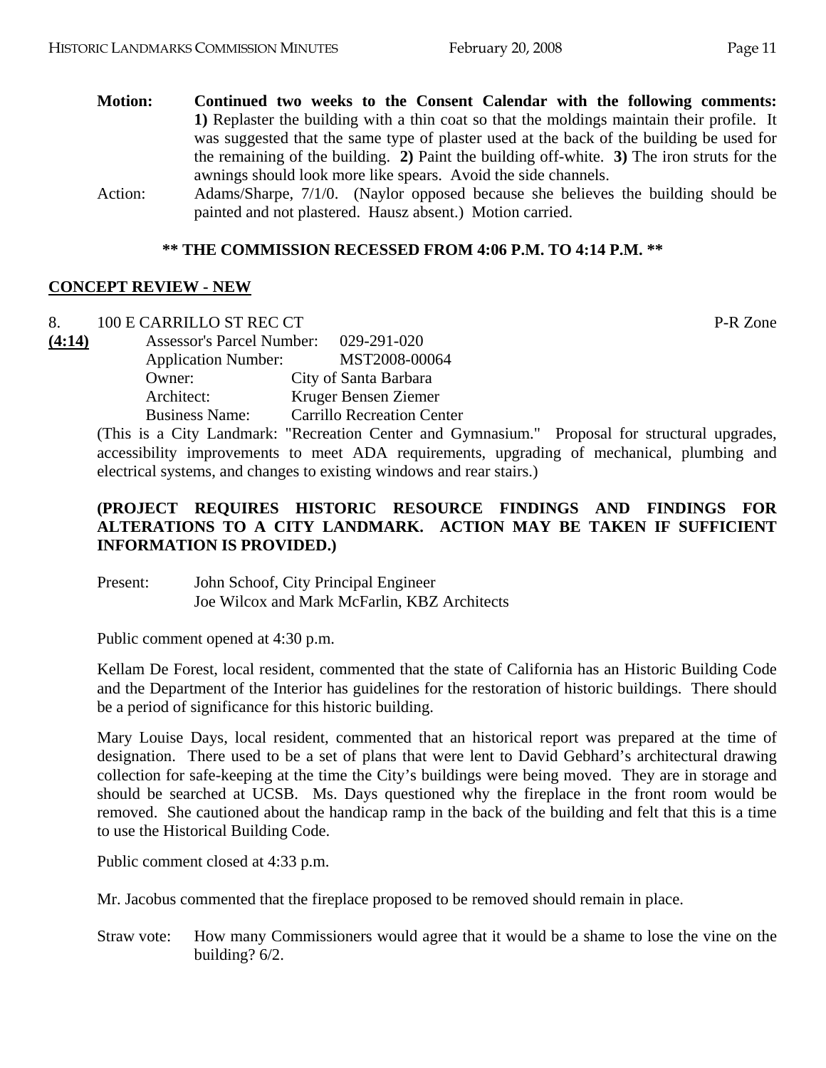- **Motion: Continued two weeks to the Consent Calendar with the following comments: 1)** Replaster the building with a thin coat so that the moldings maintain their profile. It was suggested that the same type of plaster used at the back of the building be used for the remaining of the building. **2)** Paint the building off-white. **3)** The iron struts for the awnings should look more like spears. Avoid the side channels.
- Action: Adams/Sharpe, 7/1/0. (Naylor opposed because she believes the building should be painted and not plastered. Hausz absent.) Motion carried.

#### **\*\* THE COMMISSION RECESSED FROM 4:06 P.M. TO 4:14 P.M. \*\***

#### **CONCEPT REVIEW - NEW**

| 8.     | 100 E CARRILLO ST REC CT         |                                   | P-R Zone |
|--------|----------------------------------|-----------------------------------|----------|
| (4:14) | <b>Assessor's Parcel Number:</b> | 029-291-020                       |          |
|        | <b>Application Number:</b>       | MST2008-00064                     |          |
|        | Owner:                           | City of Santa Barbara             |          |
|        | Architect:                       | Kruger Bensen Ziemer              |          |
|        | <b>Business Name:</b>            | <b>Carrillo Recreation Center</b> |          |

(This is a City Landmark: "Recreation Center and Gymnasium." Proposal for structural upgrades, accessibility improvements to meet ADA requirements, upgrading of mechanical, plumbing and electrical systems, and changes to existing windows and rear stairs.)

# **(PROJECT REQUIRES HISTORIC RESOURCE FINDINGS AND FINDINGS FOR ALTERATIONS TO A CITY LANDMARK. ACTION MAY BE TAKEN IF SUFFICIENT INFORMATION IS PROVIDED.)**

Present: John Schoof, City Principal Engineer Joe Wilcox and Mark McFarlin, KBZ Architects

Public comment opened at 4:30 p.m.

Kellam De Forest, local resident, commented that the state of California has an Historic Building Code and the Department of the Interior has guidelines for the restoration of historic buildings. There should be a period of significance for this historic building.

Mary Louise Days, local resident, commented that an historical report was prepared at the time of designation. There used to be a set of plans that were lent to David Gebhard's architectural drawing collection for safe-keeping at the time the City's buildings were being moved. They are in storage and should be searched at UCSB. Ms. Days questioned why the fireplace in the front room would be removed. She cautioned about the handicap ramp in the back of the building and felt that this is a time to use the Historical Building Code.

Public comment closed at 4:33 p.m.

Mr. Jacobus commented that the fireplace proposed to be removed should remain in place.

Straw vote: How many Commissioners would agree that it would be a shame to lose the vine on the building? 6/2.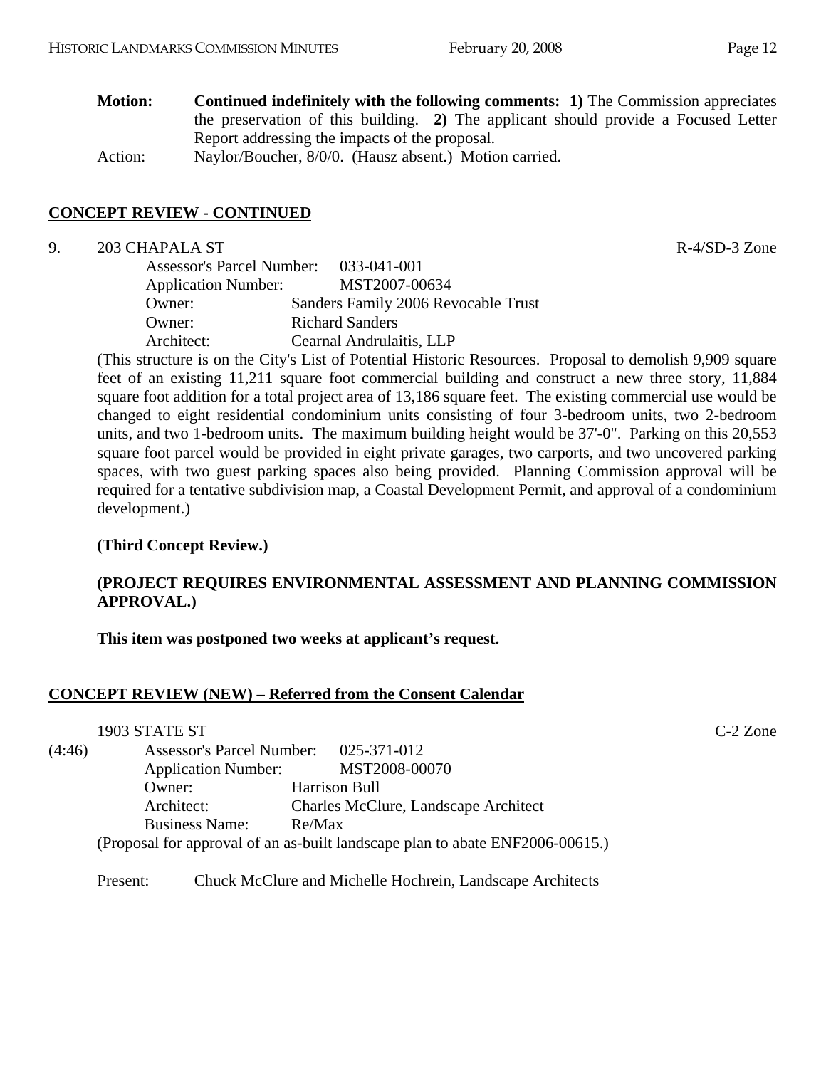| <b>Motion:</b> | <b>Continued indefinitely with the following comments: 1)</b> The Commission appreciates |
|----------------|------------------------------------------------------------------------------------------|
|                | the preservation of this building. 2) The applicant should provide a Focused Letter      |
|                | Report addressing the impacts of the proposal.                                           |
| Action:        | Naylor/Boucher, 8/0/0. (Hausz absent.) Motion carried.                                   |

### **CONCEPT REVIEW - CONTINUED**

#### 9. 203 CHAPALA ST R-4/SD-3 Zone

| <b>Assessor's Parcel Number:</b> | 033-041-001                         |
|----------------------------------|-------------------------------------|
| <b>Application Number:</b>       | MST2007-00634                       |
| Owner:                           | Sanders Family 2006 Revocable Trust |
| Owner:                           | <b>Richard Sanders</b>              |
| Architect:                       | Cearnal Andrulaitis, LLP            |

(This structure is on the City's List of Potential Historic Resources. Proposal to demolish 9,909 square feet of an existing 11,211 square foot commercial building and construct a new three story, 11,884 square foot addition for a total project area of 13,186 square feet. The existing commercial use would be changed to eight residential condominium units consisting of four 3-bedroom units, two 2-bedroom units, and two 1-bedroom units. The maximum building height would be 37'-0". Parking on this 20,553 square foot parcel would be provided in eight private garages, two carports, and two uncovered parking spaces, with two guest parking spaces also being provided. Planning Commission approval will be required for a tentative subdivision map, a Coastal Development Permit, and approval of a condominium development.)

#### **(Third Concept Review.)**

#### **(PROJECT REQUIRES ENVIRONMENTAL ASSESSMENT AND PLANNING COMMISSION APPROVAL.)**

**This item was postponed two weeks at applicant's request.** 

# **CONCEPT REVIEW (NEW) – Referred from the Consent Calendar**

|        | 1903 STATE ST                    |                                                                               | $C-2$ Zone |
|--------|----------------------------------|-------------------------------------------------------------------------------|------------|
| (4:46) | <b>Assessor's Parcel Number:</b> | 025-371-012                                                                   |            |
|        | <b>Application Number:</b>       | MST2008-00070                                                                 |            |
|        | Owner:                           | Harrison Bull                                                                 |            |
|        | Architect:                       | Charles McClure, Landscape Architect                                          |            |
|        | <b>Business Name:</b>            | Re/Max                                                                        |            |
|        |                                  | (Proposal for approval of an as-built landscape plan to abate ENF2006-00615.) |            |

Present: Chuck McClure and Michelle Hochrein, Landscape Architects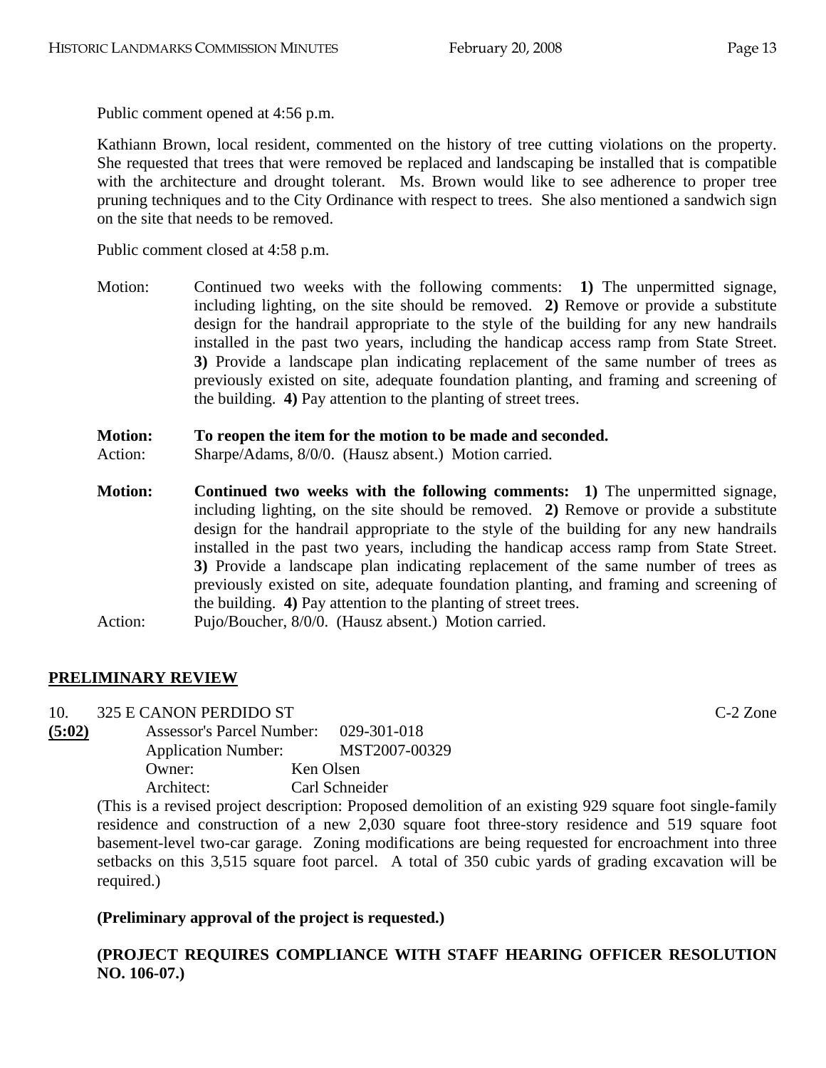Public comment opened at 4:56 p.m.

Kathiann Brown, local resident, commented on the history of tree cutting violations on the property. She requested that trees that were removed be replaced and landscaping be installed that is compatible with the architecture and drought tolerant. Ms. Brown would like to see adherence to proper tree pruning techniques and to the City Ordinance with respect to trees. She also mentioned a sandwich sign on the site that needs to be removed.

Public comment closed at 4:58 p.m.

Motion: Continued two weeks with the following comments: **1)** The unpermitted signage, including lighting, on the site should be removed. **2)** Remove or provide a substitute design for the handrail appropriate to the style of the building for any new handrails installed in the past two years, including the handicap access ramp from State Street. **3)** Provide a landscape plan indicating replacement of the same number of trees as previously existed on site, adequate foundation planting, and framing and screening of the building. **4)** Pay attention to the planting of street trees.

#### **Motion: To reopen the item for the motion to be made and seconded.**

- Action: Sharpe/Adams, 8/0/0. (Hausz absent.) Motion carried.
- **Motion:** Continued two weeks with the following comments: 1) The unpermitted signage, including lighting, on the site should be removed. **2)** Remove or provide a substitute design for the handrail appropriate to the style of the building for any new handrails installed in the past two years, including the handicap access ramp from State Street. **3)** Provide a landscape plan indicating replacement of the same number of trees as previously existed on site, adequate foundation planting, and framing and screening of the building. **4)** Pay attention to the planting of street trees. Action: Pujo/Boucher, 8/0/0. (Hausz absent.) Motion carried.

# **PRELIMINARY REVIEW**

10. 325 E CANON PERDIDO ST C-2 Zone

**(5:02)** Assessor's Parcel Number: 029-301-018 Application Number: MST2007-00329 Owner: Ken Olsen Architect: Carl Schneider

(This is a revised project description: Proposed demolition of an existing 929 square foot single-family residence and construction of a new 2,030 square foot three-story residence and 519 square foot basement-level two-car garage. Zoning modifications are being requested for encroachment into three setbacks on this 3,515 square foot parcel. A total of 350 cubic yards of grading excavation will be required.)

# **(Preliminary approval of the project is requested.)**

**(PROJECT REQUIRES COMPLIANCE WITH STAFF HEARING OFFICER RESOLUTION NO. 106-07.)**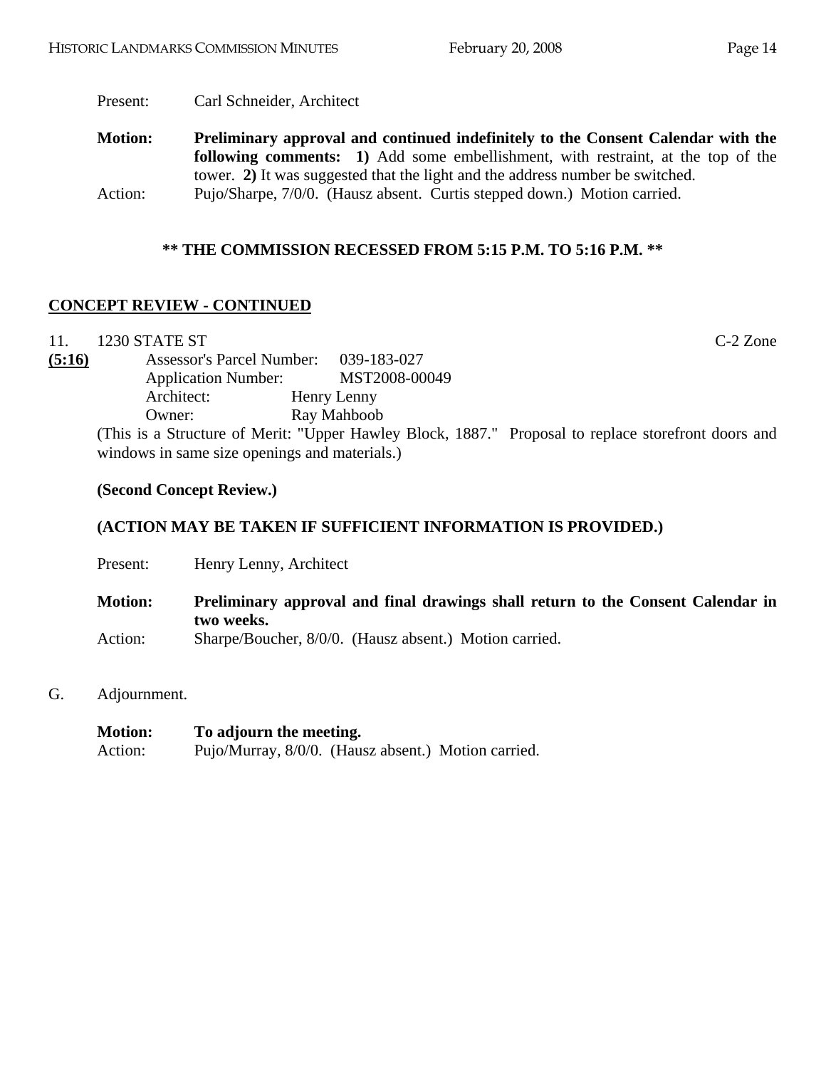Present: Carl Schneider, Architect

**Motion: Preliminary approval and continued indefinitely to the Consent Calendar with the following comments: 1)** Add some embellishment, with restraint, at the top of the tower. **2)** It was suggested that the light and the address number be switched. Action: Pujo/Sharpe, 7/0/0. (Hausz absent. Curtis stepped down.) Motion carried.

#### **\*\* THE COMMISSION RECESSED FROM 5:15 P.M. TO 5:16 P.M. \*\***

# **CONCEPT REVIEW - CONTINUED**

11. 1230 STATE ST C-2 Zone

**(5:16)** Assessor's Parcel Number: 039-183-027 Application Number: MST2008-00049 Architect: Henry Lenny Owner: Ray Mahboob

(This is a Structure of Merit: "Upper Hawley Block, 1887." Proposal to replace storefront doors and windows in same size openings and materials.)

#### **(Second Concept Review.)**

### **(ACTION MAY BE TAKEN IF SUFFICIENT INFORMATION IS PROVIDED.)**

| Present:       | Henry Lenny, Architect                                                                        |
|----------------|-----------------------------------------------------------------------------------------------|
| <b>Motion:</b> | Preliminary approval and final drawings shall return to the Consent Calendar in<br>two weeks. |
| Action:        | Sharpe/Boucher, 8/0/0. (Hausz absent.) Motion carried.                                        |

G. Adjournment.

| <b>Motion:</b> | To adjourn the meeting.                             |  |
|----------------|-----------------------------------------------------|--|
| Action:        | Pujo/Murray, 8/0/0. (Hausz absent.) Motion carried. |  |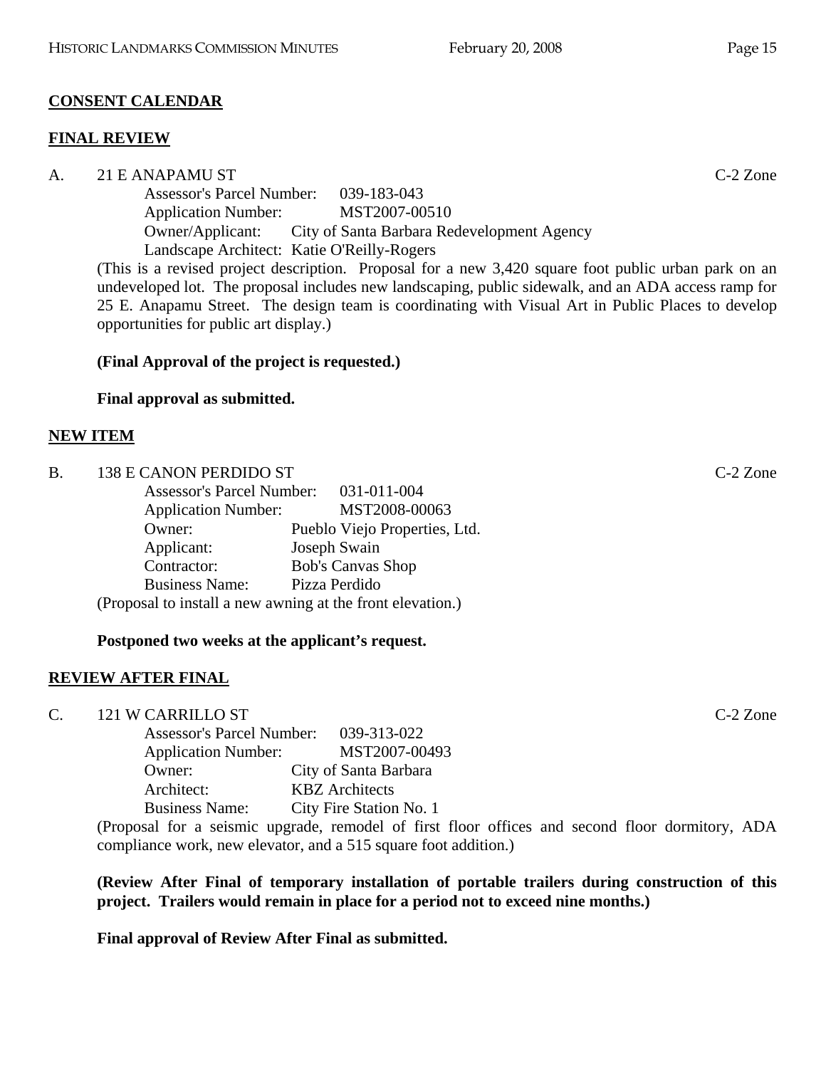# **CONSENT CALENDAR**

# **FINAL REVIEW**

A. 21 E ANAPAMU ST C-2 Zone Assessor's Parcel Number: 039-183-043 Application Number: MST2007-00510 Owner/Applicant: City of Santa Barbara Redevelopment Agency Landscape Architect: Katie O'Reilly-Rogers

(This is a revised project description. Proposal for a new 3,420 square foot public urban park on an undeveloped lot. The proposal includes new landscaping, public sidewalk, and an ADA access ramp for 25 E. Anapamu Street. The design team is coordinating with Visual Art in Public Places to develop opportunities for public art display.)

# **(Final Approval of the project is requested.)**

# **Final approval as submitted.**

# **NEW ITEM**

| <b>B</b> . | 138 E CANON PERDIDO ST                                     |                               | $C-2$ Zone |
|------------|------------------------------------------------------------|-------------------------------|------------|
|            | <b>Assessor's Parcel Number:</b>                           | 031-011-004                   |            |
|            | <b>Application Number:</b>                                 | MST2008-00063                 |            |
|            | Owner:                                                     | Pueblo Viejo Properties, Ltd. |            |
|            | Applicant:                                                 | Joseph Swain                  |            |
|            | Contractor:                                                | <b>Bob's Canvas Shop</b>      |            |
|            | <b>Business Name:</b>                                      | Pizza Perdido                 |            |
|            | (Proposal to install a new awning at the front elevation.) |                               |            |

# **Postponed two weeks at the applicant's request.**

# **REVIEW AFTER FINAL**

C. 121 W CARRILLO ST C-2 Zone

| <b>Assessor's Parcel Number:</b> | 039-313-022             |
|----------------------------------|-------------------------|
| <b>Application Number:</b>       | MST2007-00493           |
| Owner:                           | City of Santa Barbara   |
| Architect:                       | <b>KBZ</b> Architects   |
| <b>Business Name:</b>            | City Fire Station No. 1 |

(Proposal for a seismic upgrade, remodel of first floor offices and second floor dormitory, ADA compliance work, new elevator, and a 515 square foot addition.)

**(Review After Final of temporary installation of portable trailers during construction of this project. Trailers would remain in place for a period not to exceed nine months.)**

**Final approval of Review After Final as submitted.**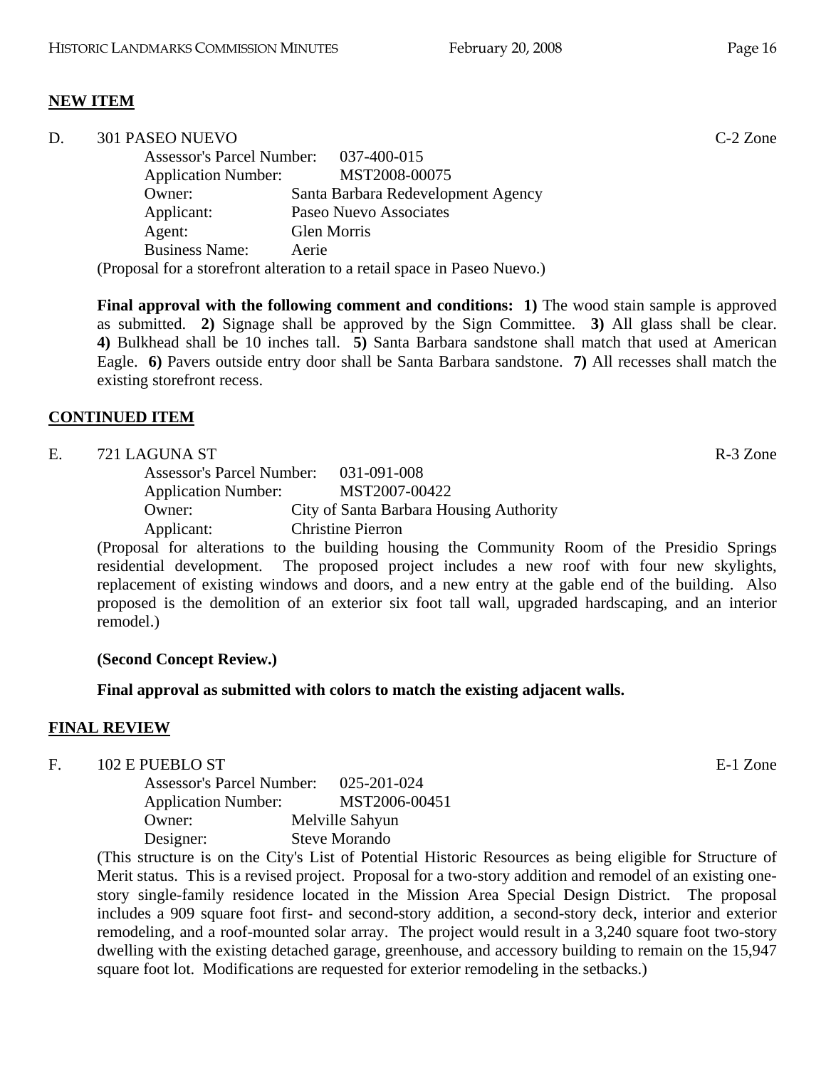# **NEW ITEM**

| D. | 301 PASEO NUEVO            |                                                                          | $C-2$ Zone |
|----|----------------------------|--------------------------------------------------------------------------|------------|
|    |                            | Assessor's Parcel Number: 037-400-015                                    |            |
|    | <b>Application Number:</b> | MST2008-00075                                                            |            |
|    | Owner:                     | Santa Barbara Redevelopment Agency                                       |            |
|    | Applicant:                 | Paseo Nuevo Associates                                                   |            |
|    | Agent:                     | Glen Morris                                                              |            |
|    | <b>Business Name:</b>      | Aerie                                                                    |            |
|    |                            | (Proposal for a storefront alteration to a retail space in Paseo Nuevo.) |            |

**Final approval with the following comment and conditions: 1)** The wood stain sample is approved as submitted. **2)** Signage shall be approved by the Sign Committee. **3)** All glass shall be clear. **4)** Bulkhead shall be 10 inches tall. **5)** Santa Barbara sandstone shall match that used at American Eagle. **6)** Pavers outside entry door shall be Santa Barbara sandstone. **7)** All recesses shall match the existing storefront recess.

#### **CONTINUED ITEM**

| E. | 721 LAGUNA ST                         |                                         | R-3 Zone |
|----|---------------------------------------|-----------------------------------------|----------|
|    | Assessor's Parcel Number: 031-091-008 |                                         |          |
|    | <b>Application Number:</b>            | MST2007-00422                           |          |
|    | Owner:                                | City of Santa Barbara Housing Authority |          |
|    | Applicant:                            | <b>Christine Pierron</b>                |          |

(Proposal for alterations to the building housing the Community Room of the Presidio Springs residential development. The proposed project includes a new roof with four new skylights, replacement of existing windows and doors, and a new entry at the gable end of the building. Also proposed is the demolition of an exterior six foot tall wall, upgraded hardscaping, and an interior remodel.)

#### **(Second Concept Review.)**

**Final approval as submitted with colors to match the existing adjacent walls.** 

#### **FINAL REVIEW**

#### F. 102 E PUEBLO ST E-1 Zone

 Assessor's Parcel Number: 025-201-024 Application Number: MST2006-00451 Owner: Melville Sahyun Designer: Steve Morando

(This structure is on the City's List of Potential Historic Resources as being eligible for Structure of Merit status. This is a revised project. Proposal for a two-story addition and remodel of an existing onestory single-family residence located in the Mission Area Special Design District. The proposal includes a 909 square foot first- and second-story addition, a second-story deck, interior and exterior remodeling, and a roof-mounted solar array. The project would result in a 3,240 square foot two-story dwelling with the existing detached garage, greenhouse, and accessory building to remain on the 15,947 square foot lot. Modifications are requested for exterior remodeling in the setbacks.)